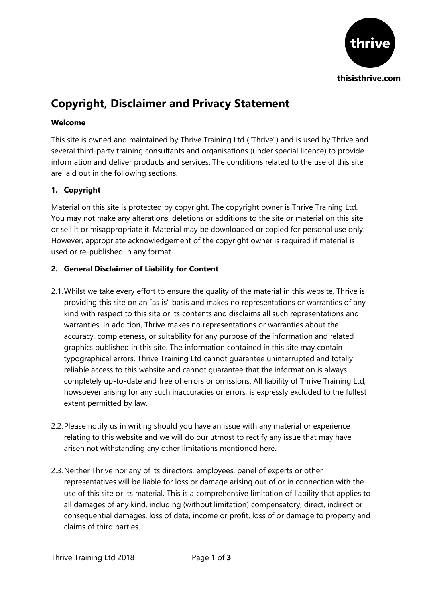

# **Copyright, Disclaimer and Privacy Statement**

# **Welcome**

This site is owned and maintained by Thrive Training Ltd ("Thrive") and is used by Thrive and several third-party training consultants and organisations (under special licence) to provide information and deliver products and services. The conditions related to the use of this site are laid out in the following sections.

# **1. Copyright**

Material on this site is protected by copyright. The copyright owner is Thrive Training Ltd. You may not make any alterations, deletions or additions to the site or material on this site or sell it or misappropriate it. Material may be downloaded or copied for personal use only. However, appropriate acknowledgement of the copyright owner is required if material is used or re-published in any format.

### **2. General Disclaimer of Liability for Content**

- 2.1.Whilst we take every effort to ensure the quality of the material in this website, Thrive is providing this site on an "as is" basis and makes no representations or warranties of any kind with respect to this site or its contents and disclaims all such representations and warranties. In addition, Thrive makes no representations or warranties about the accuracy, completeness, or suitability for any purpose of the information and related graphics published in this site. The information contained in this site may contain typographical errors. Thrive Training Ltd cannot guarantee uninterrupted and totally reliable access to this website and cannot guarantee that the information is always completely up-to-date and free of errors or omissions. All liability of Thrive Training Ltd, howsoever arising for any such inaccuracies or errors, is expressly excluded to the fullest extent permitted by law.
- 2.2.Please notify us in writing should you have an issue with any material or experience relating to this website and we will do our utmost to rectify any issue that may have arisen not withstanding any other limitations mentioned here.
- 2.3.Neither Thrive nor any of its directors, employees, panel of experts or other representatives will be liable for loss or damage arising out of or in connection with the use of this site or its material. This is a comprehensive limitation of liability that applies to all damages of any kind, including (without limitation) compensatory, direct, indirect or consequential damages, loss of data, income or profit, loss of or damage to property and claims of third parties.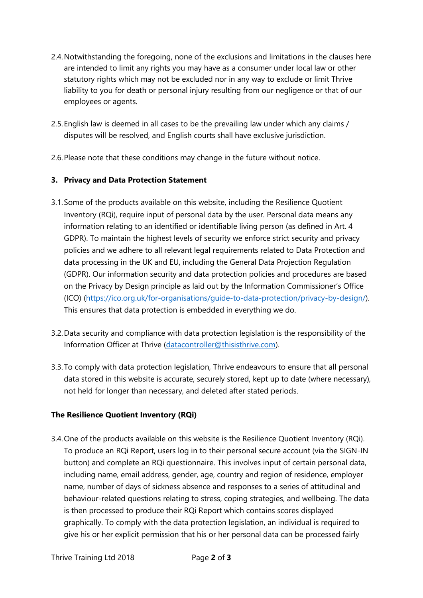- 2.4.Notwithstanding the foregoing, none of the exclusions and limitations in the clauses here are intended to limit any rights you may have as a consumer under local law or other statutory rights which may not be excluded nor in any way to exclude or limit Thrive liability to you for death or personal injury resulting from our negligence or that of our employees or agents.
- 2.5.English law is deemed in all cases to be the prevailing law under which any claims / disputes will be resolved, and English courts shall have exclusive jurisdiction.
- 2.6.Please note that these conditions may change in the future without notice.

# **3. Privacy and Data Protection Statement**

- 3.1.Some of the products available on this website, including the Resilience Quotient Inventory (RQi), require input of personal data by the user. Personal data means any information relating to an identified or identifiable living person (as defined in Art. 4 GDPR). To maintain the highest levels of security we enforce strict security and privacy policies and we adhere to all relevant legal requirements related to Data Protection and data processing in the UK and EU, including the General Data Projection Regulation (GDPR). Our information security and data protection policies and procedures are based on the Privacy by Design principle as laid out by the Information Commissioner's Office (ICO) [\(https://ico.org.uk/for-organisations/guide-to-data-protection/privacy-by-design/\)](https://ico.org.uk/for-organisations/guide-to-data-protection/privacy-by-design/). This ensures that data protection is embedded in everything we do.
- 3.2.Data security and compliance with data protection legislation is the responsibility of the Information Officer at Thrive [\(datacontroller@thisisthrive.com\)](mailto:datacontroller@thisisthrive.com).
- 3.3.To comply with data protection legislation, Thrive endeavours to ensure that all personal data stored in this website is accurate, securely stored, kept up to date (where necessary), not held for longer than necessary, and deleted after stated periods.

### **The Resilience Quotient Inventory (RQi)**

3.4.One of the products available on this website is the Resilience Quotient Inventory (RQi). To produce an RQi Report, users log in to their personal secure account (via the SIGN-IN button) and complete an RQi questionnaire. This involves input of certain personal data, including name, email address, gender, age, country and region of residence, employer name, number of days of sickness absence and responses to a series of attitudinal and behaviour-related questions relating to stress, coping strategies, and wellbeing. The data is then processed to produce their RQi Report which contains scores displayed graphically. To comply with the data protection legislation, an individual is required to give his or her explicit permission that his or her personal data can be processed fairly